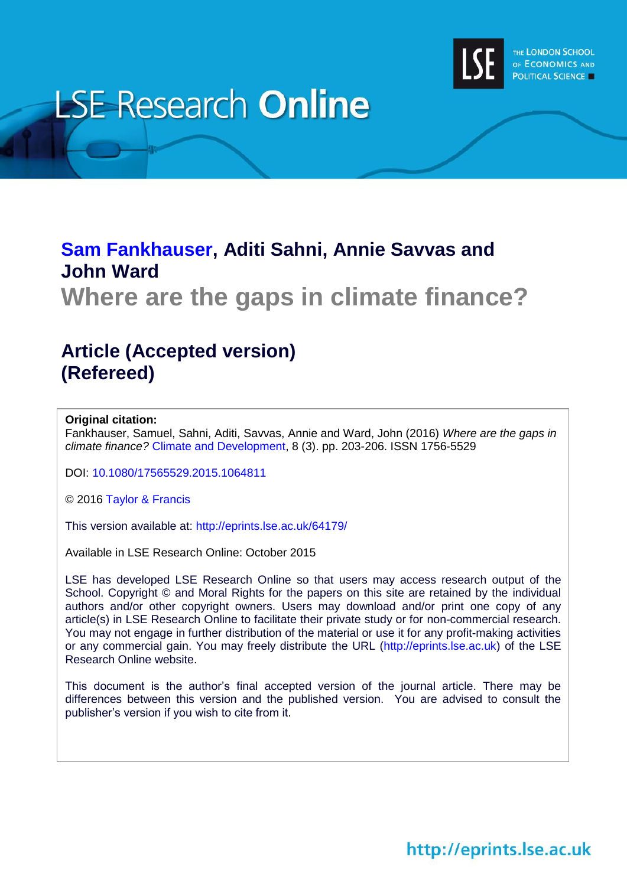

# **LSE Research Online**

# **[Sam Fankhauser,](http://www.lse.ac.uk/researchAndExpertise/Experts/profile.aspx?KeyValue=s.fankhauser@lse.ac.uk) Aditi Sahni, Annie Savvas and John Ward**

**Where are the gaps in climate finance?**

# **Article (Accepted version) (Refereed)**

#### **Original citation:**

Fankhauser, Samuel, Sahni, Aditi, Savvas, Annie and Ward, John (2016) *Where are the gaps in climate finance?* [Climate and Development,](http://www.tandfonline.com/loi/tcld20) 8 (3). pp. 203-206. ISSN 1756-5529

DOI: [10.1080/17565529.2015.1064811](http://dx.doi.org/10.1080/17565529.2015.1064811)

© 2016 [Taylor & Francis](http://www.taylorandfrancis.com/)

This version available at:<http://eprints.lse.ac.uk/64179/>

Available in LSE Research Online: October 2015

LSE has developed LSE Research Online so that users may access research output of the School. Copyright © and Moral Rights for the papers on this site are retained by the individual authors and/or other copyright owners. Users may download and/or print one copy of any article(s) in LSE Research Online to facilitate their private study or for non-commercial research. You may not engage in further distribution of the material or use it for any profit-making activities or any commercial gain. You may freely distribute the URL (http://eprints.lse.ac.uk) of the LSE Research Online website.

This document is the author's final accepted version of the journal article. There may be differences between this version and the published version. You are advised to consult the publisher's version if you wish to cite from it.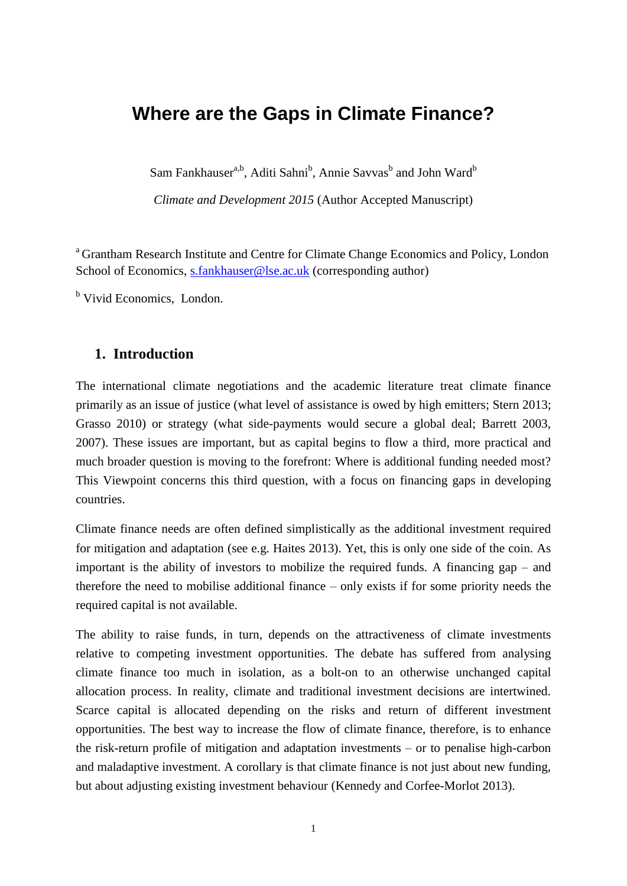# **Where are the Gaps in Climate Finance?**

Sam Fankhauser<sup>a,b</sup>, Aditi Sahni<sup>b</sup>, Annie Savvas<sup>b</sup> and John Ward<sup>b</sup>

*Climate and Development 2015* (Author Accepted Manuscript)

<sup>a</sup> Grantham Research Institute and Centre for Climate Change Economics and Policy, London School of Economics, [s.fankhauser@lse.ac.uk](mailto:s.fankhauser@lse.ac.uk) (corresponding author)

<sup>b</sup> Vivid Economics, London.

#### **1. Introduction**

The international climate negotiations and the academic literature treat climate finance primarily as an issue of justice (what level of assistance is owed by high emitters; Stern 2013; Grasso 2010) or strategy (what side-payments would secure a global deal; Barrett 2003, 2007). These issues are important, but as capital begins to flow a third, more practical and much broader question is moving to the forefront: Where is additional funding needed most? This Viewpoint concerns this third question, with a focus on financing gaps in developing countries.

Climate finance needs are often defined simplistically as the additional investment required for mitigation and adaptation (see e.g. Haites 2013). Yet, this is only one side of the coin. As important is the ability of investors to mobilize the required funds. A financing gap – and therefore the need to mobilise additional finance – only exists if for some priority needs the required capital is not available.

The ability to raise funds, in turn, depends on the attractiveness of climate investments relative to competing investment opportunities. The debate has suffered from analysing climate finance too much in isolation, as a bolt-on to an otherwise unchanged capital allocation process. In reality, climate and traditional investment decisions are intertwined. Scarce capital is allocated depending on the risks and return of different investment opportunities. The best way to increase the flow of climate finance, therefore, is to enhance the risk-return profile of mitigation and adaptation investments – or to penalise high-carbon and maladaptive investment. A corollary is that climate finance is not just about new funding, but about adjusting existing investment behaviour (Kennedy and Corfee-Morlot 2013).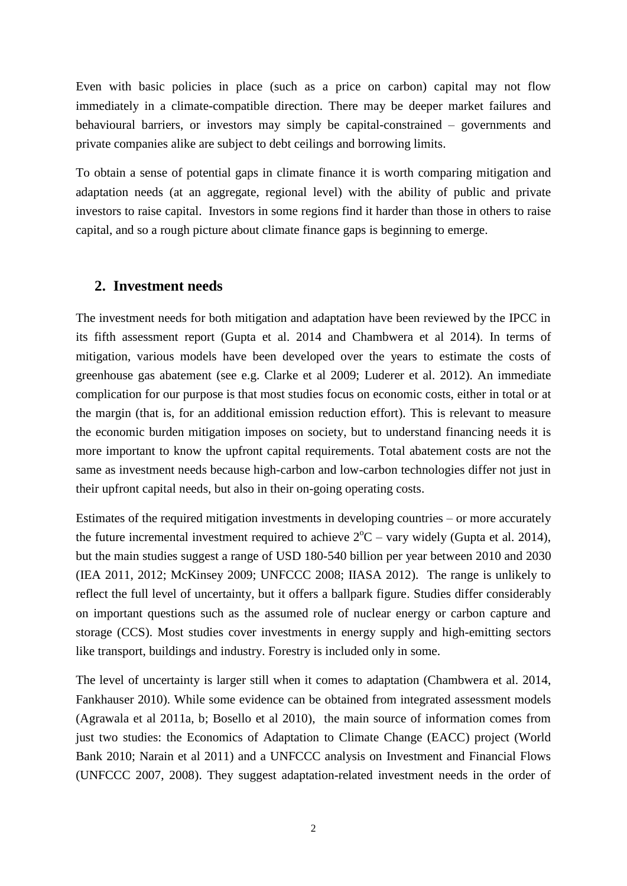Even with basic policies in place (such as a price on carbon) capital may not flow immediately in a climate-compatible direction. There may be deeper market failures and behavioural barriers, or investors may simply be capital-constrained – governments and private companies alike are subject to debt ceilings and borrowing limits.

To obtain a sense of potential gaps in climate finance it is worth comparing mitigation and adaptation needs (at an aggregate, regional level) with the ability of public and private investors to raise capital. Investors in some regions find it harder than those in others to raise capital, and so a rough picture about climate finance gaps is beginning to emerge.

## **2. Investment needs**

The investment needs for both mitigation and adaptation have been reviewed by the IPCC in its fifth assessment report (Gupta et al. 2014 and Chambwera et al 2014). In terms of mitigation, various models have been developed over the years to estimate the costs of greenhouse gas abatement (see e.g. Clarke et al 2009; Luderer et al. 2012). An immediate complication for our purpose is that most studies focus on economic costs, either in total or at the margin (that is, for an additional emission reduction effort). This is relevant to measure the economic burden mitigation imposes on society, but to understand financing needs it is more important to know the upfront capital requirements. Total abatement costs are not the same as investment needs because high-carbon and low-carbon technologies differ not just in their upfront capital needs, but also in their on-going operating costs.

Estimates of the required mitigation investments in developing countries – or more accurately the future incremental investment required to achieve  $2^{\circ}C$  – vary widely (Gupta et al. 2014), but the main studies suggest a range of USD 180-540 billion per year between 2010 and 2030 (IEA 2011, 2012; McKinsey 2009; UNFCCC 2008; IIASA 2012). The range is unlikely to reflect the full level of uncertainty, but it offers a ballpark figure. Studies differ considerably on important questions such as the assumed role of nuclear energy or carbon capture and storage (CCS). Most studies cover investments in energy supply and high-emitting sectors like transport, buildings and industry. Forestry is included only in some.

The level of uncertainty is larger still when it comes to adaptation (Chambwera et al. 2014, Fankhauser 2010). While some evidence can be obtained from integrated assessment models (Agrawala et al 2011a, b; Bosello et al 2010), the main source of information comes from just two studies: the Economics of Adaptation to Climate Change (EACC) project (World Bank 2010; Narain et al 2011) and a UNFCCC analysis on Investment and Financial Flows (UNFCCC 2007, 2008). They suggest adaptation-related investment needs in the order of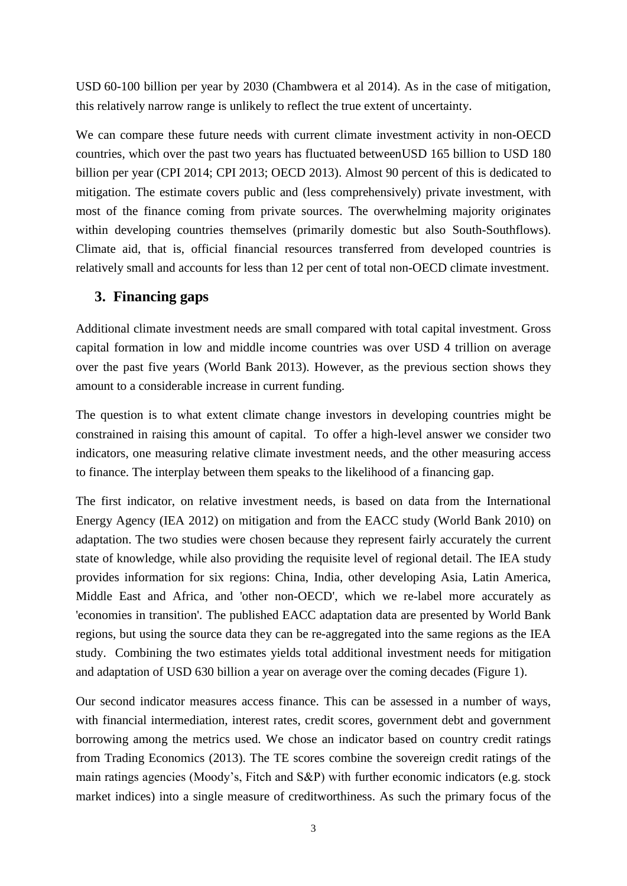USD 60-100 billion per year by 2030 (Chambwera et al 2014). As in the case of mitigation, this relatively narrow range is unlikely to reflect the true extent of uncertainty.

We can compare these future needs with current climate investment activity in non-OECD countries, which over the past two years has fluctuated betweenUSD 165 billion to USD 180 billion per year (CPI 2014; CPI 2013; OECD 2013). Almost 90 percent of this is dedicated to mitigation. The estimate covers public and (less comprehensively) private investment, with most of the finance coming from private sources. The overwhelming majority originates within developing countries themselves (primarily domestic but also South-Southflows). Climate aid, that is, official financial resources transferred from developed countries is relatively small and accounts for less than 12 per cent of total non-OECD climate investment.

## **3. Financing gaps**

Additional climate investment needs are small compared with total capital investment. Gross capital formation in low and middle income countries was over USD 4 trillion on average over the past five years (World Bank 2013). However, as the previous section shows they amount to a considerable increase in current funding.

The question is to what extent climate change investors in developing countries might be constrained in raising this amount of capital. To offer a high-level answer we consider two indicators, one measuring relative climate investment needs, and the other measuring access to finance. The interplay between them speaks to the likelihood of a financing gap.

The first indicator, on relative investment needs, is based on data from the International Energy Agency (IEA 2012) on mitigation and from the EACC study (World Bank 2010) on adaptation. The two studies were chosen because they represent fairly accurately the current state of knowledge, while also providing the requisite level of regional detail. The IEA study provides information for six regions: China, India, other developing Asia, Latin America, Middle East and Africa, and 'other non-OECD', which we re-label more accurately as 'economies in transition'. The published EACC adaptation data are presented by World Bank regions, but using the source data they can be re-aggregated into the same regions as the IEA study. Combining the two estimates yields total additional investment needs for mitigation and adaptation of USD 630 billion a year on average over the coming decades (Figure 1).

Our second indicator measures access finance. This can be assessed in a number of ways, with financial intermediation, interest rates, credit scores, government debt and government borrowing among the metrics used. We chose an indicator based on country credit ratings from Trading Economics (2013). The TE scores combine the sovereign credit ratings of the main ratings agencies (Moody's, Fitch and S&P) with further economic indicators (e.g. stock market indices) into a single measure of creditworthiness. As such the primary focus of the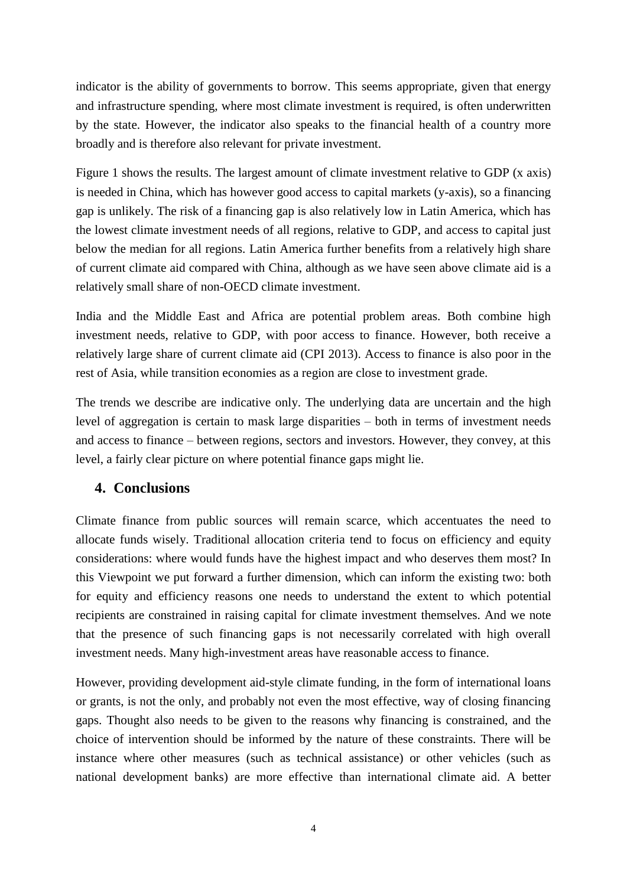indicator is the ability of governments to borrow. This seems appropriate, given that energy and infrastructure spending, where most climate investment is required, is often underwritten by the state. However, the indicator also speaks to the financial health of a country more broadly and is therefore also relevant for private investment.

[Figure 1](#page-7-0) shows the results. The largest amount of climate investment relative to GDP (x axis) is needed in China, which has however good access to capital markets (y-axis), so a financing gap is unlikely. The risk of a financing gap is also relatively low in Latin America, which has the lowest climate investment needs of all regions, relative to GDP, and access to capital just below the median for all regions. Latin America further benefits from a relatively high share of current climate aid compared with China, although as we have seen above climate aid is a relatively small share of non-OECD climate investment.

India and the Middle East and Africa are potential problem areas. Both combine high investment needs, relative to GDP, with poor access to finance. However, both receive a relatively large share of current climate aid (CPI 2013). Access to finance is also poor in the rest of Asia, while transition economies as a region are close to investment grade.

The trends we describe are indicative only. The underlying data are uncertain and the high level of aggregation is certain to mask large disparities – both in terms of investment needs and access to finance – between regions, sectors and investors. However, they convey, at this level, a fairly clear picture on where potential finance gaps might lie.

## **4. Conclusions**

Climate finance from public sources will remain scarce, which accentuates the need to allocate funds wisely. Traditional allocation criteria tend to focus on efficiency and equity considerations: where would funds have the highest impact and who deserves them most? In this Viewpoint we put forward a further dimension, which can inform the existing two: both for equity and efficiency reasons one needs to understand the extent to which potential recipients are constrained in raising capital for climate investment themselves. And we note that the presence of such financing gaps is not necessarily correlated with high overall investment needs. Many high-investment areas have reasonable access to finance.

However, providing development aid-style climate funding, in the form of international loans or grants, is not the only, and probably not even the most effective, way of closing financing gaps. Thought also needs to be given to the reasons why financing is constrained, and the choice of intervention should be informed by the nature of these constraints. There will be instance where other measures (such as technical assistance) or other vehicles (such as national development banks) are more effective than international climate aid. A better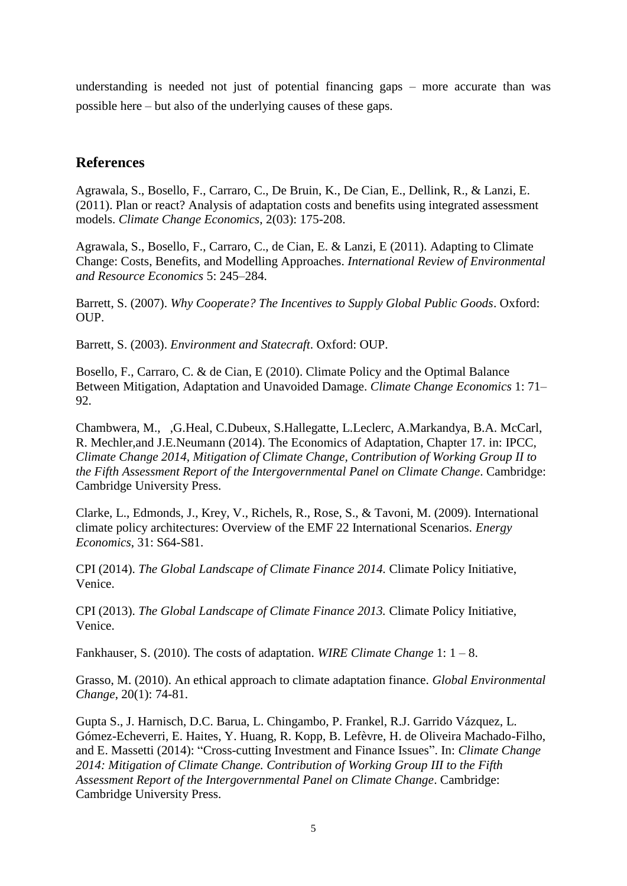understanding is needed not just of potential financing gaps  $-$  more accurate than was possible here – but also of the underlying causes of these gaps.

## **References**

Agrawala, S., Bosello, F., Carraro, C., De Bruin, K., De Cian, E., Dellink, R., & Lanzi, E. (2011). Plan or react? Analysis of adaptation costs and benefits using integrated assessment models. *Climate Change Economics*, 2(03): 175-208.

Agrawala, S., Bosello, F., Carraro, C., de Cian, E. & Lanzi, E (2011). Adapting to Climate Change: Costs, Benefits, and Modelling Approaches. *International Review of Environmental and Resource Economics* 5: 245–284.

Barrett, S. (2007). *Why Cooperate? The Incentives to Supply Global Public Goods*. Oxford: OUP.

Barrett, S. (2003). *Environment and Statecraft*. Oxford: OUP.

Bosello, F., Carraro, C. & de Cian, E (2010). Climate Policy and the Optimal Balance Between Mitigation, Adaptation and Unavoided Damage. *Climate Change Economics* 1: 71– 92.

Chambwera, M., ,G.Heal, C.Dubeux, S.Hallegatte, L.Leclerc, A.Markandya, B.A. McCarl, R. Mechler,and J.E.Neumann (2014). The Economics of Adaptation, Chapter 17. in: IPCC, *Climate Change 2014, Mitigation of Climate Change, Contribution of Working Group II to the Fifth Assessment Report of the Intergovernmental Panel on Climate Change*. Cambridge: Cambridge University Press.

Clarke, L., Edmonds, J., Krey, V., Richels, R., Rose, S., & Tavoni, M. (2009). International climate policy architectures: Overview of the EMF 22 International Scenarios. *Energy Economics*, 31: S64-S81.

CPI (2014). *The Global Landscape of Climate Finance 2014.* Climate Policy Initiative, Venice.

CPI (2013). *The Global Landscape of Climate Finance 2013.* Climate Policy Initiative, Venice.

Fankhauser, S. (2010). The costs of adaptation. *WIRE Climate Change* 1: 1 – 8.

Grasso, M. (2010). An ethical approach to climate adaptation finance. *Global Environmental Change*, 20(1): 74-81.

Gupta S., J. Harnisch, D.C. Barua, L. Chingambo, P. Frankel, R.J. Garrido Vázquez, L. Gómez-Echeverri, E. Haites, Y. Huang, R. Kopp, B. Lefèvre, H. de Oliveira Machado-Filho, and E. Massetti (2014): "Cross-cutting Investment and Finance Issues". In: *Climate Change 2014: Mitigation of Climate Change. Contribution of Working Group III to the Fifth Assessment Report of the Intergovernmental Panel on Climate Change*. Cambridge: Cambridge University Press.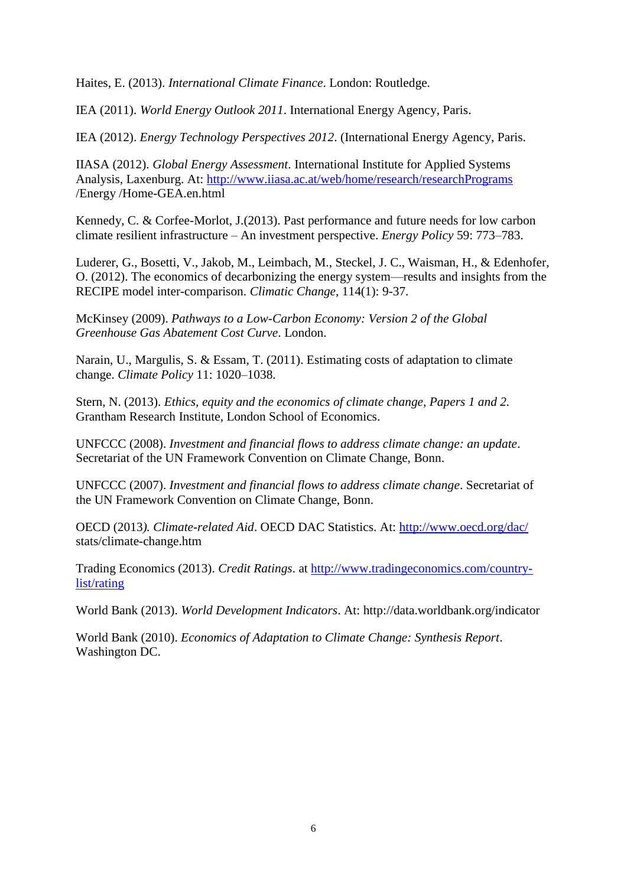Haites, E. (2013). *International Climate Finance*. London: Routledge.

IEA (2011). *World Energy Outlook 2011*. International Energy Agency, Paris.

IEA (2012). *Energy Technology Perspectives 2012*. (International Energy Agency, Paris.

IIASA (2012). *Global Energy Assessment*. International Institute for Applied Systems Analysis, Laxenburg. At:<http://www.iiasa.ac.at/web/home/research/researchPrograms> /Energy /Home-GEA.en.html

Kennedy, C. & Corfee-Morlot, J.(2013). Past performance and future needs for low carbon climate resilient infrastructure – An investment perspective. *Energy Policy* 59: 773–783.

Luderer, G., Bosetti, V., Jakob, M., Leimbach, M., Steckel, J. C., Waisman, H., & Edenhofer, O. (2012). The economics of decarbonizing the energy system—results and insights from the RECIPE model inter-comparison. *Climatic Change*, 114(1): 9-37.

McKinsey (2009). *Pathways to a Low-Carbon Economy: Version 2 of the Global Greenhouse Gas Abatement Cost Curve*. London.

Narain, U., Margulis, S. & Essam, T. (2011). Estimating costs of adaptation to climate change. *Climate Policy* 11: 1020–1038.

Stern, N. (2013). *Ethics, equity and the economics of climate change, Papers 1 and 2.* Grantham Research Institute, London School of Economics.

UNFCCC (2008). *Investment and financial flows to address climate change: an update*. Secretariat of the UN Framework Convention on Climate Change, Bonn.

UNFCCC (2007). *Investment and financial flows to address climate change*. Secretariat of the UN Framework Convention on Climate Change, Bonn.

OECD (2013*). Climate-related Aid*. OECD DAC Statistics. At:<http://www.oecd.org/dac/> stats/climate-change.htm

Trading Economics (2013). *Credit Ratings*. at [http://www.tradingeconomics.com/country](http://www.tradingeconomics.com/country-list/rating)[list/rating](http://www.tradingeconomics.com/country-list/rating)

World Bank (2013). *World Development Indicators*. At: http://data.worldbank.org/indicator

World Bank (2010). *Economics of Adaptation to Climate Change: Synthesis Report*. Washington DC.